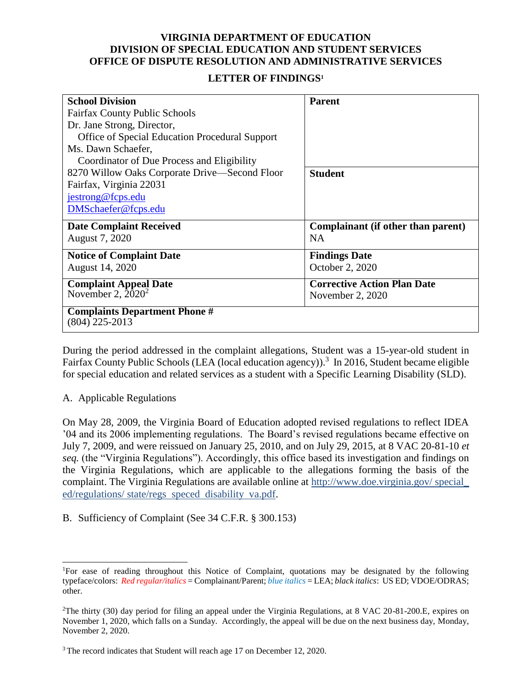## **VIRGINIA DEPARTMENT OF EDUCATION DIVISION OF SPECIAL EDUCATION AND STUDENT SERVICES OFFICE OF DISPUTE RESOLUTION AND ADMINISTRATIVE SERVICES**

## **LETTER OF FINDINGS<sup>1</sup>**

| <b>School Division</b>                                   | <b>Parent</b>                      |
|----------------------------------------------------------|------------------------------------|
| <b>Fairfax County Public Schools</b>                     |                                    |
| Dr. Jane Strong, Director,                               |                                    |
| Office of Special Education Procedural Support           |                                    |
| Ms. Dawn Schaefer,                                       |                                    |
| Coordinator of Due Process and Eligibility               |                                    |
| 8270 Willow Oaks Corporate Drive—Second Floor            | <b>Student</b>                     |
| Fairfax, Virginia 22031                                  |                                    |
| jestrong@fcps.edu                                        |                                    |
| DMSchaefer@fcps.edu                                      |                                    |
| <b>Date Complaint Received</b>                           | Complainant (if other than parent) |
| August 7, 2020                                           | <b>NA</b>                          |
| <b>Notice of Complaint Date</b>                          | <b>Findings Date</b>               |
| August 14, 2020                                          | October 2, 2020                    |
| <b>Complaint Appeal Date</b>                             | <b>Corrective Action Plan Date</b> |
| November 2, $20^{20}$                                    | November 2, 2020                   |
| <b>Complaints Department Phone #</b><br>$(804)$ 225-2013 |                                    |

During the period addressed in the complaint allegations, Student was a 15-year-old student in Fairfax County Public Schools (LEA (local education agency)).<sup>3</sup> In 2016, Student became eligible for special education and related services as a student with a Specific Learning Disability (SLD).

## A. Applicable Regulations

 $\overline{a}$ 

On May 28, 2009, the Virginia Board of Education adopted revised regulations to reflect IDEA '04 and its 2006 implementing regulations. The Board's revised regulations became effective on July 7, 2009, and were reissued on January 25, 2010, and on July 29, 2015, at 8 VAC 20-81-10 *et seq.* (the "Virginia Regulations"). Accordingly, this office based its investigation and findings on the Virginia Regulations, which are applicable to the allegations forming the basis of the complaint. The Virginia Regulations are available online at http://www.doe.virginia.gov/ special\_ ed/regulations/ state/regs speced disability va.pdf.

B. Sufficiency of Complaint (See 34 C.F.R. § 300.153)

<sup>1</sup>For ease of reading throughout this Notice of Complaint, quotations may be designated by the following typeface/colors: *Red regular/italics* = Complainant/Parent; *blue italics* = LEA; *black italics*: US ED; VDOE/ODRAS; other.

<sup>2</sup>The thirty (30) day period for filing an appeal under the Virginia Regulations, at 8 VAC 20-81-200.E, expires on November 1, 2020, which falls on a Sunday. Accordingly, the appeal will be due on the next business day, Monday, November 2, 2020.

<sup>&</sup>lt;sup>3</sup> The record indicates that Student will reach age 17 on December 12, 2020.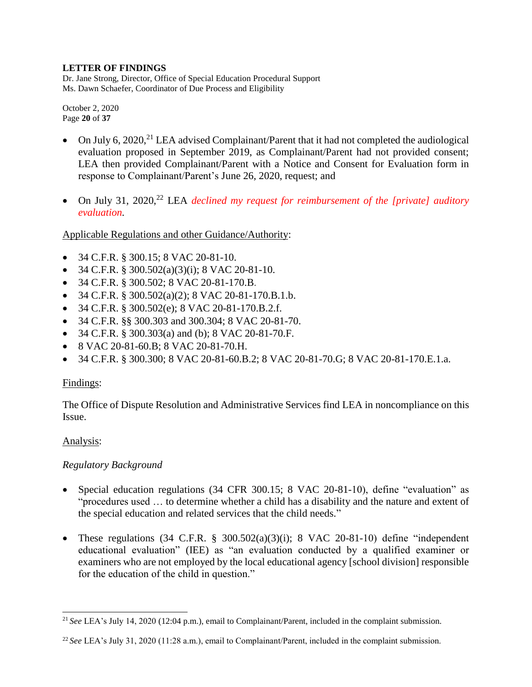Dr. Jane Strong, Director, Office of Special Education Procedural Support Ms. Dawn Schaefer, Coordinator of Due Process and Eligibility

October 2, 2020 Page **20** of **37**

- On July 6, 2020,<sup>21</sup> LEA advised Complainant/Parent that it had not completed the audiological evaluation proposed in September 2019, as Complainant/Parent had not provided consent; LEA then provided Complainant/Parent with a Notice and Consent for Evaluation form in response to Complainant/Parent's June 26, 2020, request; and
- On July 31, 2020,<sup>22</sup> LEA *declined my request for reimbursement of the [private] auditory evaluation.*

Applicable Regulations and other Guidance/Authority:

- 34 C.F.R. § 300.15; 8 VAC 20-81-10.
- $\bullet$  34 C.F.R. § 300.502(a)(3)(i); 8 VAC 20-81-10.
- 34 C.F.R. § 300.502; 8 VAC 20-81-170.B.
- $\bullet$  34 C.F.R. § 300.502(a)(2); 8 VAC 20-81-170.B.1.b.
- $\bullet$  34 C.F.R. § 300.502(e); 8 VAC 20-81-170.B.2.f.
- 34 C.F.R. §§ 300.303 and 300.304; 8 VAC 20-81-70.
- 34 C.F.R. § 300.303(a) and (b); 8 VAC 20-81-70.F.
- 8 VAC 20-81-60.B; 8 VAC 20-81-70.H.
- 34 C.F.R. § 300.300; 8 VAC 20-81-60.B.2; 8 VAC 20-81-70.G; 8 VAC 20-81-170.E.1.a.

# Findings:

The Office of Dispute Resolution and Administrative Services find LEA in noncompliance on this Issue.

## Analysis:

# *Regulatory Background*

- Special education regulations (34 CFR 300.15; 8 VAC 20-81-10), define "evaluation" as "procedures used … to determine whether a child has a disability and the nature and extent of the special education and related services that the child needs."
- These regulations  $(34 \text{ C.F.R. } § 300.502(a)(3)(i); 8 \text{ VAC } 20-81-10)$  define "independent educational evaluation" (IEE) as "an evaluation conducted by a qualified examiner or examiners who are not employed by the local educational agency [school division] responsible for the education of the child in question."

 $\overline{a}$ <sup>21</sup> *See* LEA's July 14, 2020 (12:04 p.m.), email to Complainant/Parent, included in the complaint submission.

<sup>22</sup> *See* LEA's July 31, 2020 (11:28 a.m.), email to Complainant/Parent, included in the complaint submission.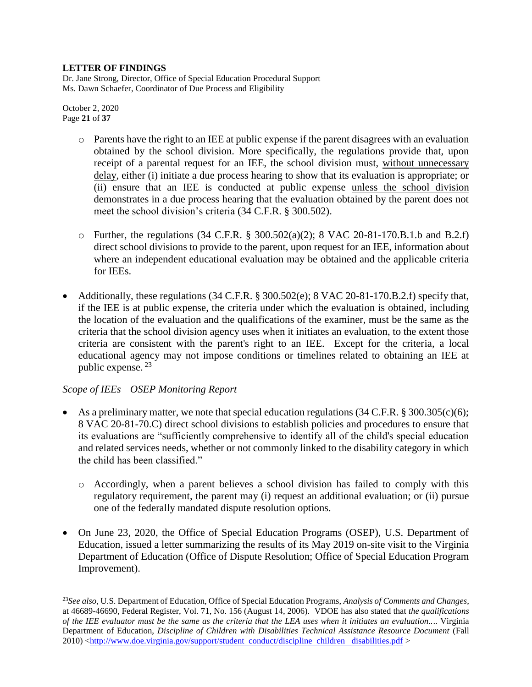Dr. Jane Strong, Director, Office of Special Education Procedural Support Ms. Dawn Schaefer, Coordinator of Due Process and Eligibility

October 2, 2020 Page **21** of **37**

 $\overline{a}$ 

- $\circ$  Parents have the right to an IEE at public expense if the parent disagrees with an evaluation obtained by the school division. More specifically, the regulations provide that, upon receipt of a parental request for an IEE, the school division must, without unnecessary delay, either (i) initiate a due process hearing to show that its evaluation is appropriate; or (ii) ensure that an IEE is conducted at public expense unless the school division demonstrates in a due process hearing that the evaluation obtained by the parent does not meet the school division's criteria (34 C.F.R. § 300.502).
- o Further, the regulations (34 C.F.R. § 300.502(a)(2); 8 VAC 20-81-170.B.1.b and B.2.f) direct school divisions to provide to the parent, upon request for an IEE, information about where an independent educational evaluation may be obtained and the applicable criteria for IEEs.
- Additionally, these regulations (34 C.F.R. § 300.502(e); 8 VAC 20-81-170.B.2.f) specify that, if the IEE is at public expense, the criteria under which the evaluation is obtained, including the location of the evaluation and the qualifications of the examiner, must be the same as the criteria that the school division agency uses when it initiates an evaluation, to the extent those criteria are consistent with the parent's right to an IEE. Except for the criteria, a local educational agency may not impose conditions or timelines related to obtaining an IEE at public expense. <sup>23</sup>

# *Scope of IEEs—OSEP Monitoring Report*

- As a preliminary matter, we note that special education regulations (34 C.F.R. § 300.305(c)(6); 8 VAC 20-81-70.C) direct school divisions to establish policies and procedures to ensure that its evaluations are "sufficiently comprehensive to identify all of the child's special education and related services needs, whether or not commonly linked to the disability category in which the child has been classified."
	- o Accordingly, when a parent believes a school division has failed to comply with this regulatory requirement, the parent may (i) request an additional evaluation; or (ii) pursue one of the federally mandated dispute resolution options.
- On June 23, 2020, the Office of Special Education Programs (OSEP), U.S. Department of Education, issued a letter summarizing the results of its May 2019 on-site visit to the Virginia Department of Education (Office of Dispute Resolution; Office of Special Education Program Improvement).

<sup>23</sup>*See also*, U.S. Department of Education, Office of Special Education Programs, *Analysis of Comments and Changes*, at 46689-46690, Federal Register, Vol. 71, No. 156 (August 14, 2006). VDOE has also stated that *the qualifications of the IEE evaluator must be the same as the criteria that the LEA uses when it initiates an evaluation..*.. Virginia Department of Education, *Discipline of Children with Disabilities Technical Assistance Resource Document* (Fall 2010) <http://www.doe.virginia.gov/support/student conduct/discipline children disabilities.pdf >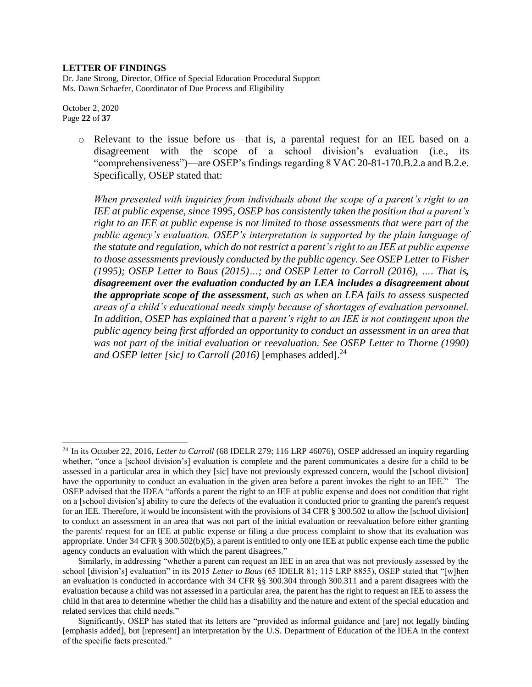Dr. Jane Strong, Director, Office of Special Education Procedural Support Ms. Dawn Schaefer, Coordinator of Due Process and Eligibility

October 2, 2020 Page **22** of **37**

 $\overline{a}$ 

o Relevant to the issue before us—that is, a parental request for an IEE based on a disagreement with the scope of a school division's evaluation (i.e., its "comprehensiveness")—are OSEP's findings regarding 8 VAC 20-81-170.B.2.a and B.2.e. Specifically, OSEP stated that:

*When presented with inquiries from individuals about the scope of a parent's right to an IEE at public expense, since 1995, OSEP has consistently taken the position that a parent's right to an IEE at public expense is not limited to those assessments that were part of the public agency's evaluation. OSEP's interpretation is supported by the plain language of the statute and regulation, which do not restrict a parent's right to an IEE at public expense to those assessments previously conducted by the public agency. See OSEP Letter to Fisher (1995); OSEP Letter to Baus (2015)…; and OSEP Letter to Carroll (2016), …. That is, disagreement over the evaluation conducted by an LEA includes a disagreement about the appropriate scope of the assessment, such as when an LEA fails to assess suspected areas of a child's educational needs simply because of shortages of evaluation personnel.*  In addition, OSEP has explained that a parent's right to an IEE is not contingent upon the *public agency being first afforded an opportunity to conduct an assessment in an area that*  was not part of the initial evaluation or reevaluation. See OSEP Letter to Thorne (1990) *and OSEP letter [sic] to Carroll (2016)* [emphases added]. 24

<sup>24</sup> In its October 22, 2016, *Letter to Carroll* (68 IDELR 279; 116 LRP 46076), OSEP addressed an inquiry regarding whether, "once a [school division's] evaluation is complete and the parent communicates a desire for a child to be assessed in a particular area in which they [sic] have not previously expressed concern, would the [school division] have the opportunity to conduct an evaluation in the given area before a parent invokes the right to an IEE." The OSEP advised that the IDEA "affords a parent the right to an IEE at public expense and does not condition that right on a [school division's] ability to cure the defects of the evaluation it conducted prior to granting the parent's request for an IEE. Therefore, it would be inconsistent with the provisions of 34 CFR § 300.502 to allow the [school division] to conduct an assessment in an area that was not part of the initial evaluation or reevaluation before either granting the parents' request for an IEE at public expense or filing a due process complaint to show that its evaluation was appropriate. Under 34 CFR § 300.502(b)(5), a parent is entitled to only one IEE at public expense each time the public agency conducts an evaluation with which the parent disagrees."

Similarly, in addressing "whether a parent can request an IEE in an area that was not previously assessed by the school [division's] evaluation" in its 2015 *Letter to Baus* (65 IDELR 81; 115 LRP 8855), OSEP stated that "[w]hen an evaluation is conducted in accordance with 34 CFR §§ 300.304 through 300.311 and a parent disagrees with the evaluation because a child was not assessed in a particular area, the parent has the right to request an IEE to assess the child in that area to determine whether the child has a disability and the nature and extent of the special education and related services that child needs."

Significantly, OSEP has stated that its letters are "provided as informal guidance and [are] not legally binding [emphasis added], but [represent] an interpretation by the U.S. Department of Education of the IDEA in the context of the specific facts presented."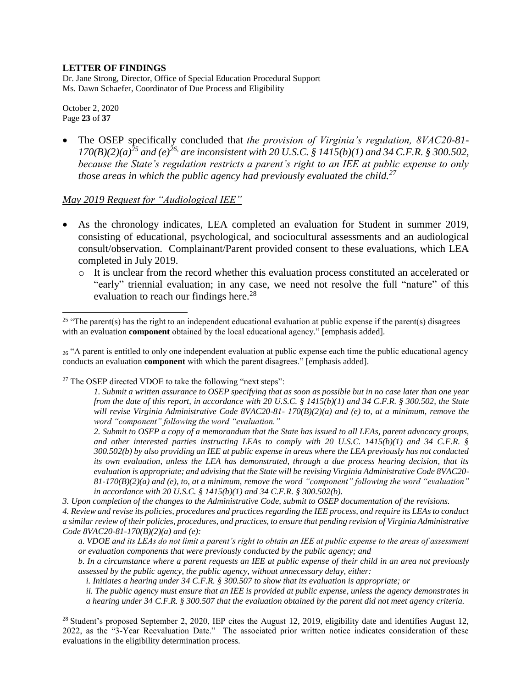Dr. Jane Strong, Director, Office of Special Education Procedural Support Ms. Dawn Schaefer, Coordinator of Due Process and Eligibility

October 2, 2020 Page **23** of **37**

 $\overline{a}$ 

 The OSEP specifically concluded that *the provision of Virginia's regulation, 8VAC20-81-*  $170(B)(2)(a)^{25}$  and (e)<sup>26,</sup> are inconsistent with 20 U.S.C. § 1415(b)(1) and 34 C.F.R. § 300.502, *because the State's regulation restricts a parent's right to an IEE at public expense to only those areas in which the public agency had previously evaluated the child.<sup>27</sup>*

### *May 2019 Request for "Audiological IEE"*

- As the chronology indicates, LEA completed an evaluation for Student in summer 2019, consisting of educational, psychological, and sociocultural assessments and an audiological consult/observation. Complainant/Parent provided consent to these evaluations, which LEA completed in July 2019.
	- o It is unclear from the record whether this evaluation process constituted an accelerated or "early" triennial evaluation; in any case, we need not resolve the full "nature" of this evaluation to reach our findings here.<sup>28</sup>

 $_{26}$  "A parent is entitled to only one independent evaluation at public expense each time the public educational agency conducts an evaluation **component** with which the parent disagrees." [emphasis added].

<sup>27</sup> The OSEP directed VDOE to take the following "next steps":

*1. Submit a written assurance to OSEP specifying that as soon as possible but in no case later than one year from the date of this report, in accordance with 20 U.S.C. § 1415(b)(1) and 34 C.F.R. § 300.502, the State will revise Virginia Administrative Code 8VAC20-81- 170(B)(2)(a) and (e) to, at a minimum, remove the word "component" following the word "evaluation."* 

*2. Submit to OSEP a copy of a memorandum that the State has issued to all LEAs, parent advocacy groups, and other interested parties instructing LEAs to comply with 20 U.S.C. 1415(b)(1) and 34 C.F.R. § 300.502(b) by also providing an IEE at public expense in areas where the LEA previously has not conducted its own evaluation, unless the LEA has demonstrated, through a due process hearing decision, that its evaluation is appropriate; and advising that the State will be revising Virginia Administrative Code 8VAC20- 81-170(B)(2)(a) and (e), to, at a minimum, remove the word "component" following the word "evaluation" in accordance with 20 U.S.C. § 1415(b)(1) and 34 C.F.R. § 300.502(b).* 

*3. Upon completion of the changes to the Administrative Code, submit to OSEP documentation of the revisions.* 

*4. Review and revise its policies, procedures and practices regarding the IEE process, and require its LEAs to conduct a similar review of their policies, procedures, and practices, to ensure that pending revision of Virginia Administrative Code 8VAC20-81-170(B)(2)(a) and (e):* 

*a. VDOE and its LEAs do not limit a parent's right to obtain an IEE at public expense to the areas of assessment or evaluation components that were previously conducted by the public agency; and* 

*b. In a circumstance where a parent requests an IEE at public expense of their child in an area not previously assessed by the public agency, the public agency, without unnecessary delay, either:* 

*i. Initiates a hearing under 34 C.F.R. § 300.507 to show that its evaluation is appropriate; or* 

*ii. The public agency must ensure that an IEE is provided at public expense, unless the agency demonstrates in a hearing under 34 C.F.R. § 300.507 that the evaluation obtained by the parent did not meet agency criteria.*

<sup>28</sup> Student's proposed September 2, 2020, IEP cites the August 12, 2019, eligibility date and identifies August 12, 2022, as the "3-Year Reevaluation Date." The associated prior written notice indicates consideration of these evaluations in the eligibility determination process.

<sup>&</sup>lt;sup>25</sup> "The parent(s) has the right to an independent educational evaluation at public expense if the parent(s) disagrees with an evaluation **component** obtained by the local educational agency." [emphasis added].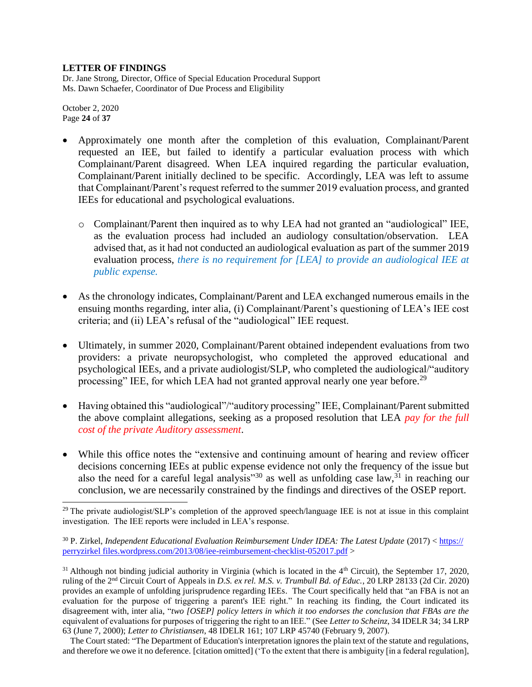Dr. Jane Strong, Director, Office of Special Education Procedural Support Ms. Dawn Schaefer, Coordinator of Due Process and Eligibility

October 2, 2020 Page **24** of **37**

 $\overline{a}$ 

- Approximately one month after the completion of this evaluation, Complainant/Parent requested an IEE, but failed to identify a particular evaluation process with which Complainant/Parent disagreed. When LEA inquired regarding the particular evaluation, Complainant/Parent initially declined to be specific. Accordingly, LEA was left to assume that Complainant/Parent's request referred to the summer 2019 evaluation process, and granted IEEs for educational and psychological evaluations.
	- o Complainant/Parent then inquired as to why LEA had not granted an "audiological" IEE, as the evaluation process had included an audiology consultation/observation. LEA advised that, as it had not conducted an audiological evaluation as part of the summer 2019 evaluation process, *there is no requirement for [LEA] to provide an audiological IEE at public expense.*
- As the chronology indicates, Complainant/Parent and LEA exchanged numerous emails in the ensuing months regarding, inter alia, (i) Complainant/Parent's questioning of LEA's IEE cost criteria; and (ii) LEA's refusal of the "audiological" IEE request.
- Ultimately, in summer 2020, Complainant/Parent obtained independent evaluations from two providers: a private neuropsychologist, who completed the approved educational and psychological IEEs, and a private audiologist/SLP, who completed the audiological/"auditory processing" IEE, for which LEA had not granted approval nearly one year before.<sup>29</sup>
- Having obtained this "audiological"/"auditory processing" IEE, Complainant/Parent submitted the above complaint allegations, seeking as a proposed resolution that LEA *pay for the full cost of the private Auditory assessment*.
- While this office notes the "extensive and continuing amount of hearing and review officer decisions concerning IEEs at public expense evidence not only the frequency of the issue but also the need for a careful legal analysis"<sup>30</sup> as well as unfolding case law,<sup>31</sup> in reaching our conclusion, we are necessarily constrained by the findings and directives of the OSEP report.

<sup>&</sup>lt;sup>29</sup> The private audiologist/SLP's completion of the approved speech/language IEE is not at issue in this complaint investigation. The IEE reports were included in LEA's response.

<sup>30</sup> P. Zirkel, *Independent Educational Evaluation Reimbursement Under IDEA: The Latest Update* (2017) < https:// perryzirkel files.wordpress.com/2013/08/iee-reimbursement-checklist-052017.pdf >

 $31$  Although not binding judicial authority in Virginia (which is located in the  $4<sup>th</sup>$  Circuit), the September 17, 2020, ruling of the 2nd Circuit Court of Appeals in *D.S. ex rel. M.S. v. Trumbull Bd. of Educ.*, 20 LRP 28133 (2d Cir. 2020) provides an example of unfolding jurisprudence regarding IEEs. The Court specifically held that "an FBA is not an evaluation for the purpose of triggering a parent's IEE right." In reaching its finding, the Court indicated its disagreement with, inter alia, "*two [OSEP] policy letters in which it too endorses the conclusion that FBAs are the*  equivalent of evaluations for purposes of triggering the right to an IEE." (See *Letter to Scheinz*, 34 IDELR 34; 34 LRP 63 (June 7, 2000); *Letter to Christiansen*, 48 IDELR 161; 107 LRP 45740 (February 9, 2007).

The Court stated: "The Department of Education's interpretation ignores the plain text of the statute and regulations, and therefore we owe it no deference. [citation omitted] ('To the extent that there is ambiguity [in a federal regulation],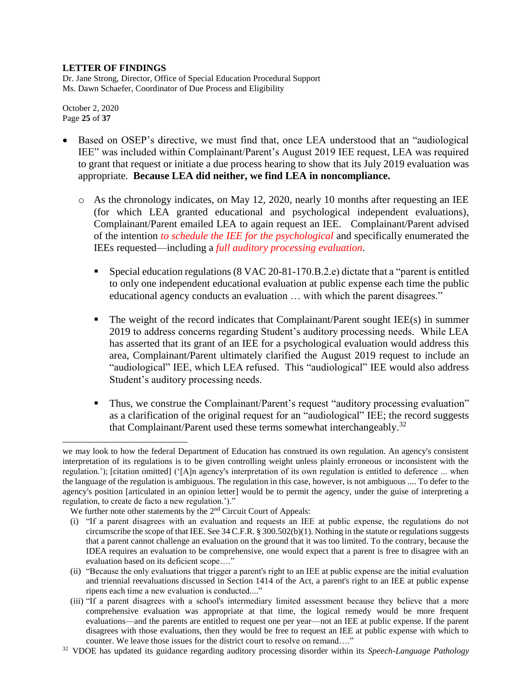Dr. Jane Strong, Director, Office of Special Education Procedural Support Ms. Dawn Schaefer, Coordinator of Due Process and Eligibility

October 2, 2020 Page **25** of **37**

 $\overline{a}$ 

- Based on OSEP's directive, we must find that, once LEA understood that an "audiological IEE" was included within Complainant/Parent's August 2019 IEE request, LEA was required to grant that request or initiate a due process hearing to show that its July 2019 evaluation was appropriate. **Because LEA did neither, we find LEA in noncompliance.**
	- o As the chronology indicates, on May 12, 2020, nearly 10 months after requesting an IEE (for which LEA granted educational and psychological independent evaluations), Complainant/Parent emailed LEA to again request an IEE. Complainant/Parent advised of the intention *to schedule the IEE for the psychological* and specifically enumerated the IEEs requested—including a *full auditory processing evaluation*.
		- Special education regulations (8 VAC 20-81-170.B.2.e) dictate that a "parent is entitled to only one independent educational evaluation at public expense each time the public educational agency conducts an evaluation … with which the parent disagrees."
		- $\blacksquare$  The weight of the record indicates that Complainant/Parent sought IEE(s) in summer 2019 to address concerns regarding Student's auditory processing needs. While LEA has asserted that its grant of an IEE for a psychological evaluation would address this area, Complainant/Parent ultimately clarified the August 2019 request to include an "audiological" IEE, which LEA refused. This "audiological" IEE would also address Student's auditory processing needs.
		- Thus, we construe the Complainant/Parent's request "auditory processing evaluation" as a clarification of the original request for an "audiological" IEE; the record suggests that Complainant/Parent used these terms somewhat interchangeably.<sup>32</sup>

we may look to how the federal Department of Education has construed its own regulation. An agency's consistent interpretation of its regulations is to be given controlling weight unless plainly erroneous or inconsistent with the regulation.'); [citation omitted] ('[A]n agency's interpretation of its own regulation is entitled to deference ... when the language of the regulation is ambiguous. The regulation in this case, however, is not ambiguous .... To defer to the agency's position [articulated in an opinion letter] would be to permit the agency, under the guise of interpreting a regulation, to create de facto a new regulation.')."

We further note other statements by the 2<sup>nd</sup> Circuit Court of Appeals:

<sup>(</sup>i) "If a parent disagrees with an evaluation and requests an IEE at public expense, the regulations do not circumscribe the scope of that IEE. See 34 C.F.R. § 300.502(b)(1). Nothing in the statute or regulations suggests that a parent cannot challenge an evaluation on the ground that it was too limited. To the contrary, because the IDEA requires an evaluation to be comprehensive, one would expect that a parent is free to disagree with an evaluation based on its deficient scope…."

<sup>(</sup>ii) "Because the only evaluations that trigger a parent's right to an IEE at public expense are the initial evaluation and triennial reevaluations discussed in Section 1414 of the Act, a parent's right to an IEE at public expense ripens each time a new evaluation is conducted...."

<sup>(</sup>iii) "If a parent disagrees with a school's intermediary limited assessment because they believe that a more comprehensive evaluation was appropriate at that time, the logical remedy would be more frequent evaluations—and the parents are entitled to request one per year—not an IEE at public expense. If the parent disagrees with those evaluations, then they would be free to request an IEE at public expense with which to counter. We leave those issues for the district court to resolve on remand…."

<sup>32</sup> VDOE has updated its guidance regarding auditory processing disorder within its *Speech-Language Pathology*